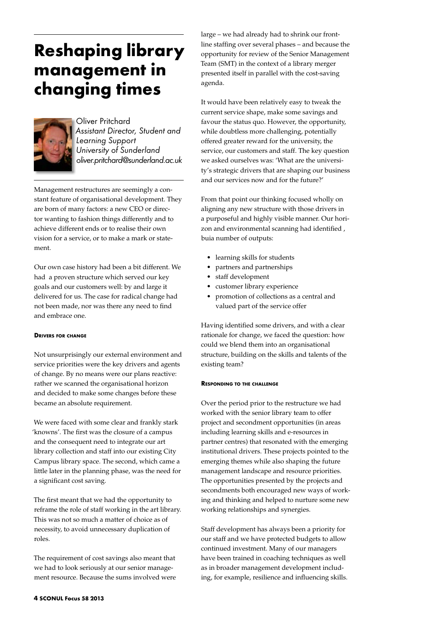# **Reshaping library management in changing times**



Oliver Pritchard *Assistant Director, Student and Learning Support University of Sunderland oliver.pritchard@sunderland.ac.uk*

Management restructures are seemingly a constant feature of organisational development. They are born of many factors: a new CEO or director wanting to fashion things differently and to achieve different ends or to realise their own vision for a service, or to make a mark or statement.

Our own case history had been a bit different. We had a proven structure which served our key goals and our customers well: by and large it delivered for us. The case for radical change had not been made, nor was there any need to find and embrace one.

# **Drivers for change**

Not unsurprisingly our external environment and service priorities were the key drivers and agents of change. By no means were our plans reactive: rather we scanned the organisational horizon and decided to make some changes before these became an absolute requirement.

We were faced with some clear and frankly stark 'knowns'. The first was the closure of a campus and the consequent need to integrate our art library collection and staff into our existing City Campus library space. The second, which came a little later in the planning phase, was the need for a significant cost saving.

The first meant that we had the opportunity to reframe the role of staff working in the art library. This was not so much a matter of choice as of necessity, to avoid unnecessary duplication of roles.

The requirement of cost savings also meant that we had to look seriously at our senior management resource. Because the sums involved were

large – we had already had to shrink our frontline staffing over several phases – and because the opportunity for review of the Senior Management Team (SMT) in the context of a library merger presented itself in parallel with the cost-saving agenda.

It would have been relatively easy to tweak the current service shape, make some savings and favour the status quo. However, the opportunity, while doubtless more challenging, potentially offered greater reward for the university, the service, our customers and staff. The key question we asked ourselves was: 'What are the university's strategic drivers that are shaping our business and our services now and for the future?'

From that point our thinking focused wholly on aligning any new structure with those drivers in a purposeful and highly visible manner. Our horizon and environmental scanning had identified , buia number of outputs:

- learning skills for students
- partners and partnerships
- • staff development
- • customer library experience
- promotion of collections as a central and valued part of the service offer

Having identified some drivers, and with a clear rationale for change, we faced the question: how could we blend them into an organisational structure, building on the skills and talents of the existing team?

# **Responding to the challenge**

Over the period prior to the restructure we had worked with the senior library team to offer project and secondment opportunities (in areas including learning skills and e-resources in partner centres) that resonated with the emerging institutional drivers. These projects pointed to the emerging themes while also shaping the future management landscape and resource priorities. The opportunities presented by the projects and secondments both encouraged new ways of working and thinking and helped to nurture some new working relationships and synergies.

Staff development has always been a priority for our staff and we have protected budgets to allow continued investment. Many of our managers have been trained in coaching techniques as well as in broader management development including, for example, resilience and influencing skills.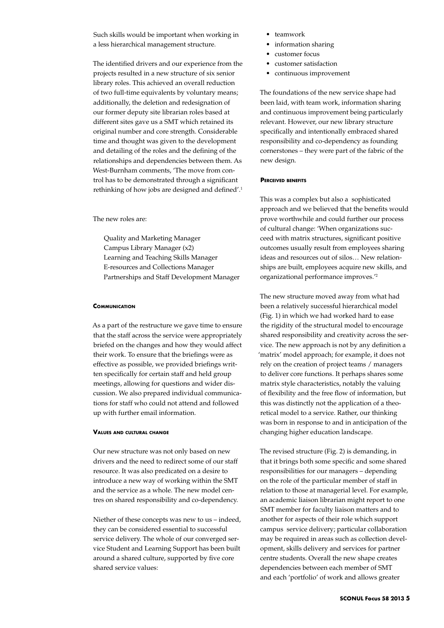Such skills would be important when working in a less hierarchical management structure.

The identified drivers and our experience from the projects resulted in a new structure of six senior library roles. This achieved an overall reduction of two full-time equivalents by voluntary means; additionally, the deletion and redesignation of our former deputy site librarian roles based at different sites gave us a SMT which retained its original number and core strength. Considerable time and thought was given to the development and detailing of the roles and the defining of the relationships and dependencies between them. As West-Burnham comments, 'The move from control has to be demonstrated through a significant rethinking of how jobs are designed and defined'.<sup>1</sup>

The new roles are:

Quality and Marketing Manager Campus Library Manager (x2) Learning and Teaching Skills Manager E-resources and Collections Manager Partnerships and Staff Development Manager

# **Communication**

As a part of the restructure we gave time to ensure that the staff across the service were appropriately briefed on the changes and how they would affect their work. To ensure that the briefings were as effective as possible, we provided briefings written specifically for certain staff and held group meetings, allowing for questions and wider discussion. We also prepared individual communications for staff who could not attend and followed up with further email information.

#### **Values and cultural change**

Our new structure was not only based on new drivers and the need to redirect some of our staff resource. It was also predicated on a desire to introduce a new way of working within the SMT and the service as a whole. The new model centres on shared responsibility and co-dependency.

Niether of these concepts was new to us – indeed, they can be considered essential to successful service delivery. The whole of our converged service Student and Learning Support has been built around a shared culture, supported by five core shared service values:

- teamwork
- information sharing
- customer focus
- customer satisfaction
- continuous improvement

The foundations of the new service shape had been laid, with team work, information sharing and continuous improvement being particularly relevant. However, our new library structure specifically and intentionally embraced shared responsibility and co-dependency as founding cornerstones – they were part of the fabric of the new design.

### **Perceived benefits**

This was a complex but also a sophisticated approach and we believed that the benefits would prove worthwhile and could further our process of cultural change: 'When organizations succeed with matrix structures, significant positive outcomes usually result from employees sharing ideas and resources out of silos… New relationships are built, employees acquire new skills, and organizational performance improves.'2

The new structure moved away from what had been a relatively successful hierarchical model (Fig. 1) in which we had worked hard to ease the rigidity of the structural model to encourage shared responsibility and creativity across the service. The new approach is not by any definition a 'matrix' model approach; for example, it does not rely on the creation of project teams / managers to deliver core functions. It perhaps shares some matrix style characteristics, notably the valuing of flexibility and the free flow of information, but this was distinctly not the application of a theoretical model to a service. Rather, our thinking was born in response to and in anticipation of the changing higher education landscape.

The revised structure (Fig. 2) is demanding, in that it brings both some specific and some shared responsibilities for our managers – depending on the role of the particular member of staff in relation to those at managerial level. For example, an academic liaison librarian might report to one SMT member for faculty liaison matters and to another for aspects of their role which support campus service delivery; particular collaboration may be required in areas such as collection development, skills delivery and services for partner centre students. Overall the new shape creates dependencies between each member of SMT and each 'portfolio' of work and allows greater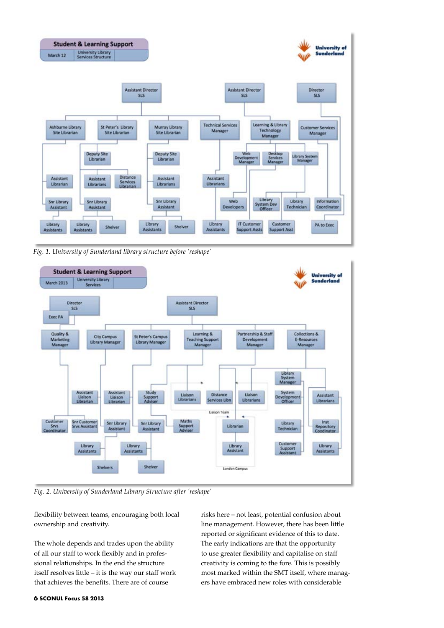

*Fig. 1. University of Sunderland library structure before 'reshape'*



*Fig. 2. University of Sunderland Library Structure after 'reshape'*

flexibility between teams, encouraging both local ownership and creativity.

The whole depends and trades upon the ability of all our staff to work flexibly and in professional relationships. In the end the structure itself resolves little – it is the way our staff work that achieves the benefits. There are of course

risks here – not least, potential confusion about line management. However, there has been little reported or significant evidence of this to date. The early indications are that the opportunity to use greater flexibility and capitalise on staff creativity is coming to the fore. This is possibly most marked within the SMT itself, where managers have embraced new roles with considerable